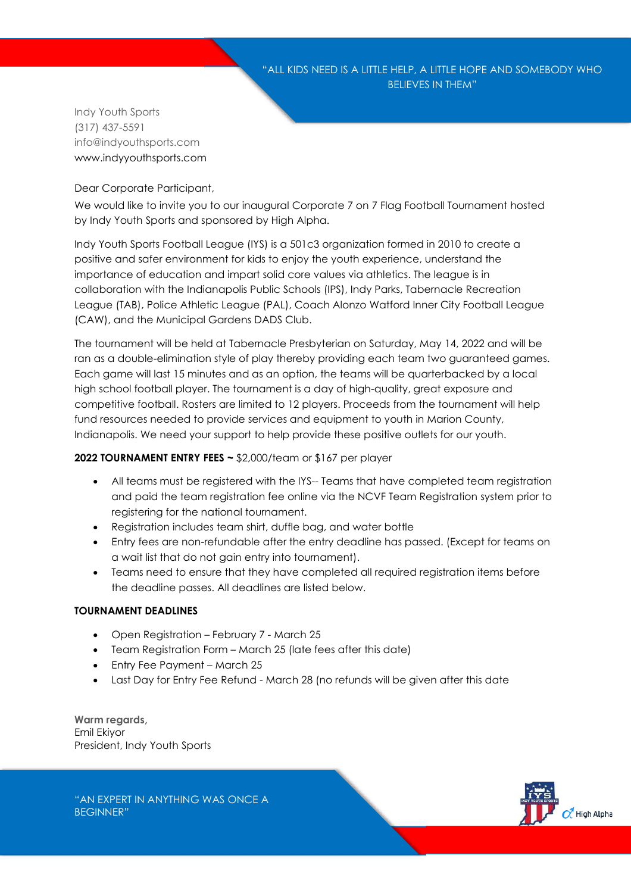Indy Youth Sports (317) 437-5591 info@indyouthsports.com www.indyyouthsports.com

Dear Corporate Participant,

We would like to invite you to our inaugural Corporate 7 on 7 Flag Football Tournament hosted by Indy Youth Sports and sponsored by High Alpha.

Indy Youth Sports Football League (IYS) is a 501c3 organization formed in 2010 to create a positive and safer environment for kids to enjoy the youth experience, understand the importance of education and impart solid core values via athletics. The league is in collaboration with the Indianapolis Public Schools (IPS), Indy Parks, Tabernacle Recreation League (TAB), Police Athletic League (PAL), Coach Alonzo Watford Inner City Football League (CAW), and the Municipal Gardens DADS Club.

The tournament will be held at Tabernacle Presbyterian on Saturday, May 14, 2022 and will be ran as a double-elimination style of play thereby providing each team two guaranteed games. Each game will last 15 minutes and as an option, the teams will be quarterbacked by a local high school football player. The tournament is a day of high-quality, great exposure and competitive football. Rosters are limited to 12 players. Proceeds from the tournament will help fund resources needed to provide services and equipment to youth in Marion County, Indianapolis. We need your support to help provide these positive outlets for our youth.

#### **2022 TOURNAMENT ENTRY FEES ~** \$2,000/team or \$167 per player

- All teams must be registered with the IYS-- Teams that have completed team registration and paid the team registration fee online via the NCVF Team Registration system prior to registering for the national tournament.
- Registration includes team shirt, duffle bag, and water bottle
- Entry fees are non-refundable after the entry deadline has passed. (Except for teams on a wait list that do not gain entry into tournament).
- Teams need to ensure that they have completed all required registration items before the deadline passes. All deadlines are listed below.

#### **TOURNAMENT DEADLINES**

- Open Registration February 7 March 25
- Team Registration Form March 25 (late fees after this date)
- Entry Fee Payment March 25
- Last Day for Entry Fee Refund March 28 (no refunds will be given after this date

**Warm regards,** Emil Ekiyor President, Indy Youth Sports

"AN EXPERT IN ANYTHING WAS ONCE A BEGINNER"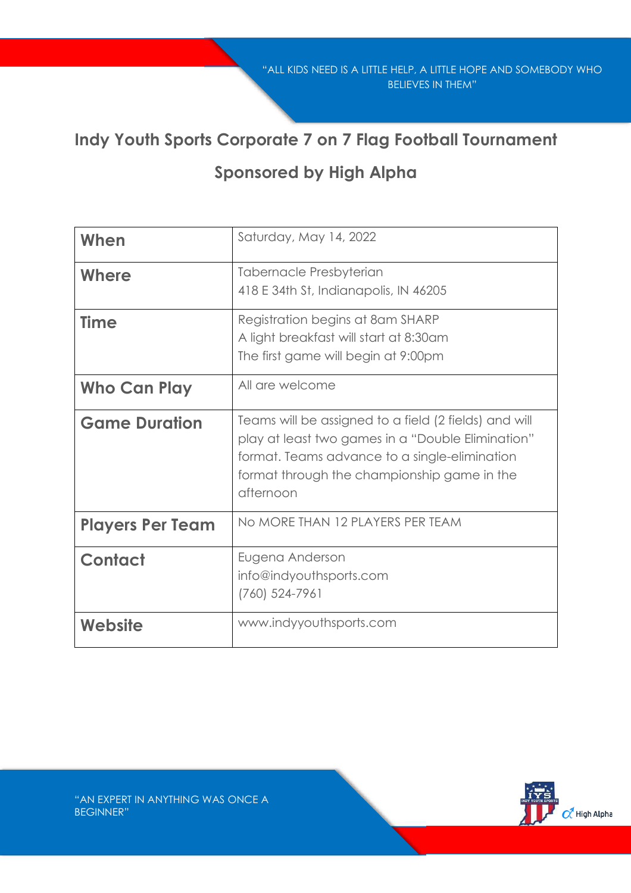### **Indy Youth Sports Corporate 7 on 7 Flag Football Tournament**

### **Sponsored by High Alpha**

| When                    | Saturday, May 14, 2022                                                                                                                                                                                                  |
|-------------------------|-------------------------------------------------------------------------------------------------------------------------------------------------------------------------------------------------------------------------|
| Where                   | Tabernacle Presbyterian<br>418 E 34th St, Indianapolis, IN 46205                                                                                                                                                        |
| <b>Time</b>             | Registration begins at 8am SHARP<br>A light breakfast will start at 8:30am<br>The first game will begin at 9:00pm                                                                                                       |
| Who Can Play            | All are welcome                                                                                                                                                                                                         |
| <b>Game Duration</b>    | Teams will be assigned to a field (2 fields) and will<br>play at least two games in a "Double Elimination"<br>format. Teams advance to a single-elimination<br>format through the championship game in the<br>afternoon |
| <b>Players Per Team</b> | No MORE THAN 12 PLAYERS PER TEAM                                                                                                                                                                                        |
| <b>Contact</b>          | Eugena Anderson<br>info@indyouthsports.com<br>$(760)$ 524-7961                                                                                                                                                          |
| Website                 | www.indyyouthsports.com                                                                                                                                                                                                 |

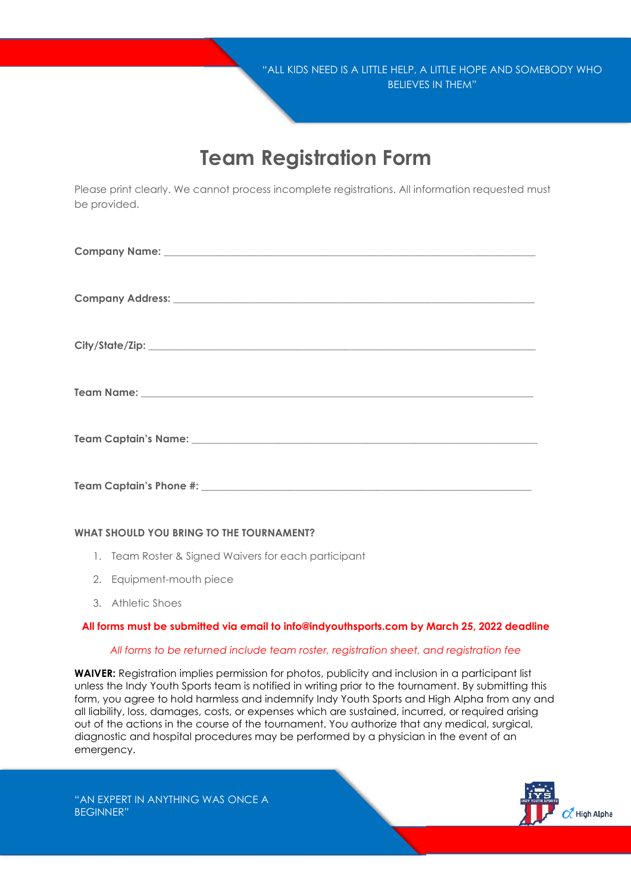## **Team Registration Form**

Please print clearly. We cannot process incomplete registrations. All information requested must be provided.

#### **WHAT SHOULD YOU BRING TO THE TOURNAMENT?**

- 1. Team Roster & Signed Waivers for each participant
- 2. Equipment-mouth piece
- 3. Athletic Shoes

#### **All forms must be submitted via email to info@indyouthsports.com by March 25, 2022 deadline**

#### *All forms to be returned include team roster, registration sheet, and registration fee*

**WAIVER:** Registration implies permission for photos, publicity and inclusion in a participant list unless the Indy Youth Sports team is notified in writing prior to the tournament. By submitting this form, you agree to hold harmless and indemnify Indy Youth Sports and High Alpha from any and all liability, loss, damages, costs, or expenses which are sustained, incurred, or required arising out of the actions in the course of the tournament. You authorize that any medical, surgical, diagnostic and hospital procedures may be performed by a physician in the event of an emergency.

"AN EXPERT IN ANYTHING WAS ONCE A BEGINNER"

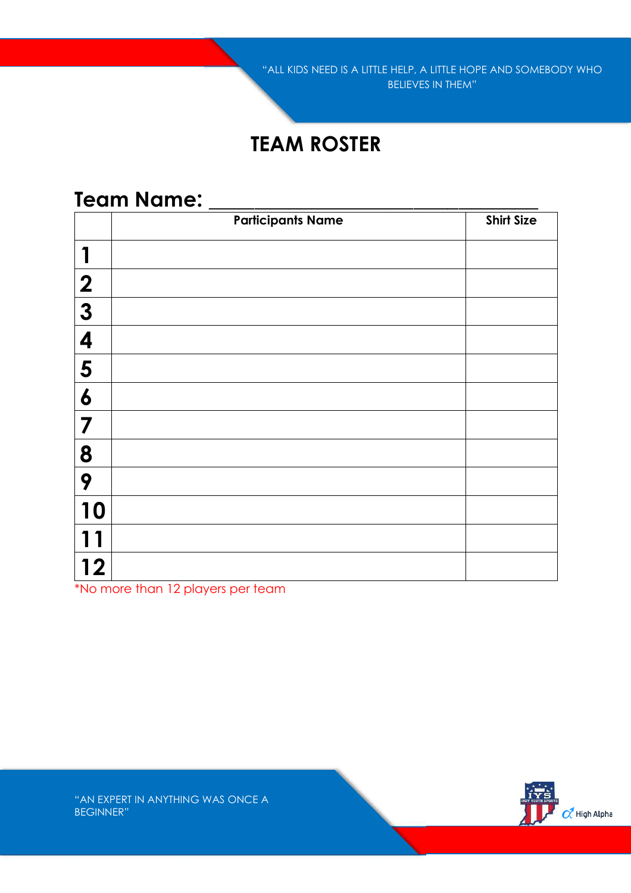## **TEAM ROSTER**

### **Team Name: \_\_\_\_\_\_\_\_\_\_\_\_\_\_\_\_\_\_\_\_\_\_\_\_\_\_\_\_\_**

|                         | <b>Participants Name</b> | <b>Shirt Size</b> |
|-------------------------|--------------------------|-------------------|
|                         |                          |                   |
| $\boldsymbol{2}$        |                          |                   |
| $\boldsymbol{3}$        |                          |                   |
| 4                       |                          |                   |
| 5                       |                          |                   |
| $\boldsymbol{6}$        |                          |                   |
| 7                       |                          |                   |
| 8                       |                          |                   |
| 9                       |                          |                   |
| 10                      |                          |                   |
|                         |                          |                   |
| $\overline{\mathbf{2}}$ |                          |                   |

\*No more than 12 players per team

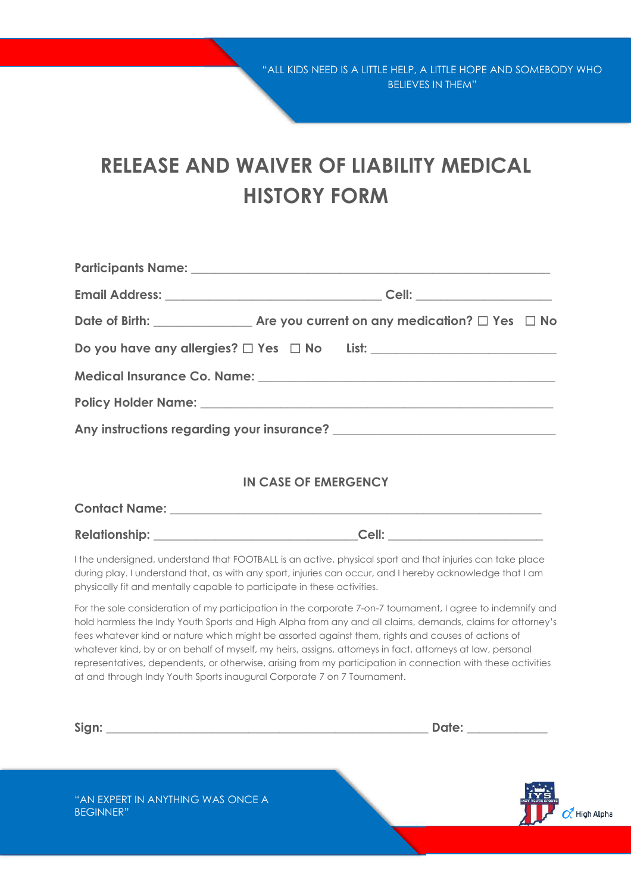# **RELEASE AND WAIVER OF LIABILITY MEDICAL HISTORY FORM**

|                                                                         | Do you have any allergies? $\Box$ Yes $\Box$ No List: _______________________________                                                                                                                                                                                                                                                                                                                                                                                                                                                                         |
|-------------------------------------------------------------------------|---------------------------------------------------------------------------------------------------------------------------------------------------------------------------------------------------------------------------------------------------------------------------------------------------------------------------------------------------------------------------------------------------------------------------------------------------------------------------------------------------------------------------------------------------------------|
|                                                                         |                                                                                                                                                                                                                                                                                                                                                                                                                                                                                                                                                               |
|                                                                         |                                                                                                                                                                                                                                                                                                                                                                                                                                                                                                                                                               |
|                                                                         |                                                                                                                                                                                                                                                                                                                                                                                                                                                                                                                                                               |
|                                                                         | <b>IN CASE OF EMERGENCY</b>                                                                                                                                                                                                                                                                                                                                                                                                                                                                                                                                   |
|                                                                         |                                                                                                                                                                                                                                                                                                                                                                                                                                                                                                                                                               |
| physically fit and mentally capable to participate in these activities. | I the undersigned, understand that FOOTBALL is an active, physical sport and that injuries can take place<br>during play. I understand that, as with any sport, injuries can occur, and I hereby acknowledge that I am                                                                                                                                                                                                                                                                                                                                        |
| at and through Indy Youth Sports inaugural Corporate 7 on 7 Tournament. | For the sole consideration of my participation in the corporate 7-on-7 tournament, I agree to indemnify and<br>hold harmless the Indy Youth Sports and High Alpha from any and all claims, demands, claims for attorney's<br>fees whatever kind or nature which might be assorted against them, rights and causes of actions of<br>whatever kind, by or on behalf of myself, my heirs, assigns, attorneys in fact, attorneys at law, personal<br>representatives, dependents, or otherwise, arising from my participation in connection with these activities |

| Sign:                                                 | Date: the contract of the contract of the contract of the contract of the contract of the contract of the contract of the contract of the contract of the contract of the contract of the contract of the contract of the cont |                                                      |
|-------------------------------------------------------|--------------------------------------------------------------------------------------------------------------------------------------------------------------------------------------------------------------------------------|------------------------------------------------------|
| "AN EXPERT IN ANYTHING WAS ONCE A<br><b>BEGINNER"</b> |                                                                                                                                                                                                                                | <b>INDY YOUTH SPORT</b><br>$\overline{O}$ High Alpha |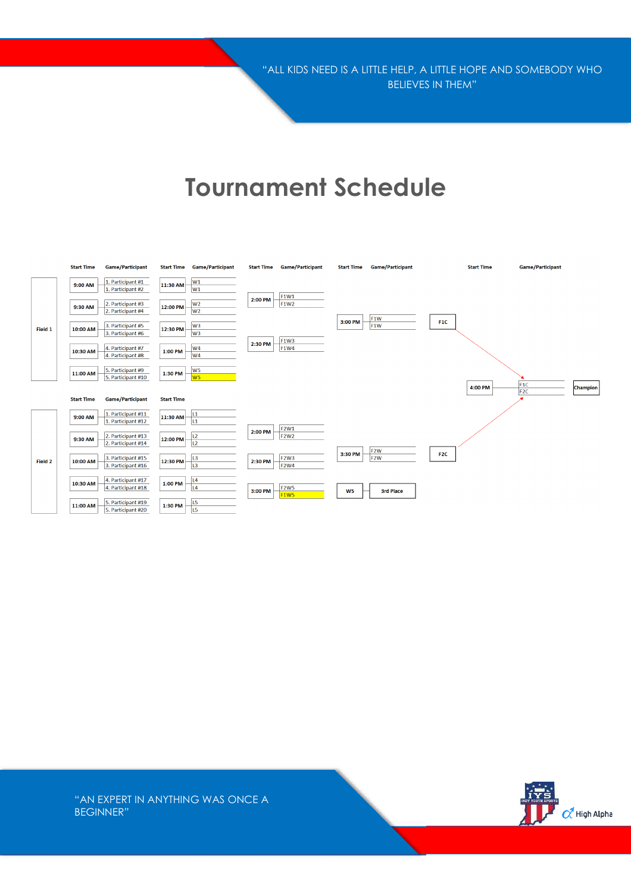"ALL KIDS NEED IS A LITTLE HELP, A LITTLE HOPE AND SOMEBODY WHO BELIEVES IN THEM"

## **Tournament Schedule**